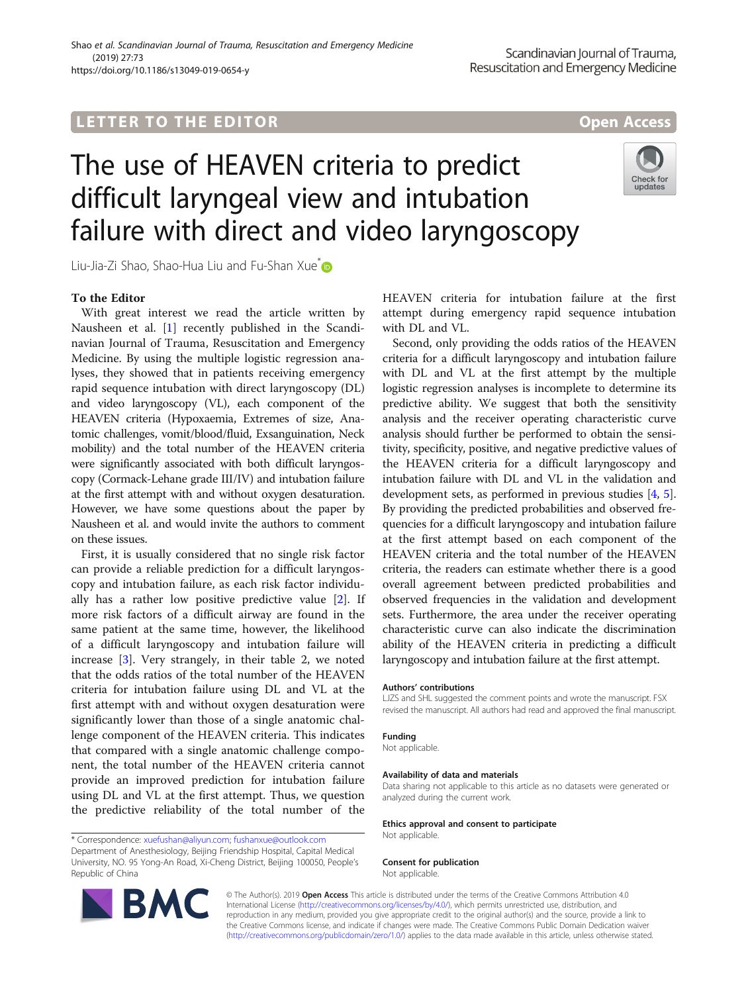## **LETTER TO THE EDITOR CONSIDERING ACCESS**

# The use of HEAVEN criteria to predict difficult laryngeal view and intubation failure with direct and video laryngoscopy



Liu-Jia-Zi Shao, Shao-Hua Liu and Fu-Shan Xue<sup>\*</sup>

### To the Editor

With great interest we read the article written by Nausheen et al. [[1\]](#page-1-0) recently published in the Scandinavian Journal of Trauma, Resuscitation and Emergency Medicine. By using the multiple logistic regression analyses, they showed that in patients receiving emergency rapid sequence intubation with direct laryngoscopy (DL) and video laryngoscopy (VL), each component of the HEAVEN criteria (Hypoxaemia, Extremes of size, Anatomic challenges, vomit/blood/fluid, Exsanguination, Neck mobility) and the total number of the HEAVEN criteria were significantly associated with both difficult laryngoscopy (Cormack-Lehane grade III/IV) and intubation failure at the first attempt with and without oxygen desaturation. However, we have some questions about the paper by Nausheen et al. and would invite the authors to comment on these issues.

First, it is usually considered that no single risk factor can provide a reliable prediction for a difficult laryngoscopy and intubation failure, as each risk factor individually has a rather low positive predictive value [[2](#page-1-0)]. If more risk factors of a difficult airway are found in the same patient at the same time, however, the likelihood of a difficult laryngoscopy and intubation failure will increase [[3](#page-1-0)]. Very strangely, in their table 2, we noted that the odds ratios of the total number of the HEAVEN criteria for intubation failure using DL and VL at the first attempt with and without oxygen desaturation were significantly lower than those of a single anatomic challenge component of the HEAVEN criteria. This indicates that compared with a single anatomic challenge component, the total number of the HEAVEN criteria cannot provide an improved prediction for intubation failure using DL and VL at the first attempt. Thus, we question the predictive reliability of the total number of the

HEAVEN criteria for intubation failure at the first attempt during emergency rapid sequence intubation with DL and VL.

Second, only providing the odds ratios of the HEAVEN criteria for a difficult laryngoscopy and intubation failure with DL and VL at the first attempt by the multiple logistic regression analyses is incomplete to determine its predictive ability. We suggest that both the sensitivity analysis and the receiver operating characteristic curve analysis should further be performed to obtain the sensitivity, specificity, positive, and negative predictive values of the HEAVEN criteria for a difficult laryngoscopy and intubation failure with DL and VL in the validation and development sets, as performed in previous studies [\[4](#page-1-0), [5](#page-1-0)]. By providing the predicted probabilities and observed frequencies for a difficult laryngoscopy and intubation failure at the first attempt based on each component of the HEAVEN criteria and the total number of the HEAVEN criteria, the readers can estimate whether there is a good overall agreement between predicted probabilities and observed frequencies in the validation and development sets. Furthermore, the area under the receiver operating characteristic curve can also indicate the discrimination ability of the HEAVEN criteria in predicting a difficult laryngoscopy and intubation failure at the first attempt.

#### Authors' contributions

LJZS and SHL suggested the comment points and wrote the manuscript. FSX revised the manuscript. All authors had read and approved the final manuscript.

#### Funding

Not applicable.

#### Availability of data and materials

Data sharing not applicable to this article as no datasets were generated or analyzed during the current work.

Ethics approval and consent to participate

Not applicable.

#### Consent for publication

Not applicable.



© The Author(s). 2019 Open Access This article is distributed under the terms of the Creative Commons Attribution 4.0 International License [\(http://creativecommons.org/licenses/by/4.0/](http://creativecommons.org/licenses/by/4.0/)), which permits unrestricted use, distribution, and reproduction in any medium, provided you give appropriate credit to the original author(s) and the source, provide a link to the Creative Commons license, and indicate if changes were made. The Creative Commons Public Domain Dedication waiver [\(http://creativecommons.org/publicdomain/zero/1.0/](http://creativecommons.org/publicdomain/zero/1.0/)) applies to the data made available in this article, unless otherwise stated.

<sup>\*</sup> Correspondence: [xuefushan@aliyun.com;](mailto:xuefushan@aliyun.com) [fushanxue@outlook.com](mailto:fushanxue@outlook.com) Department of Anesthesiology, Beijing Friendship Hospital, Capital Medical University, NO. 95 Yong-An Road, Xi-Cheng District, Beijing 100050, People's Republic of China